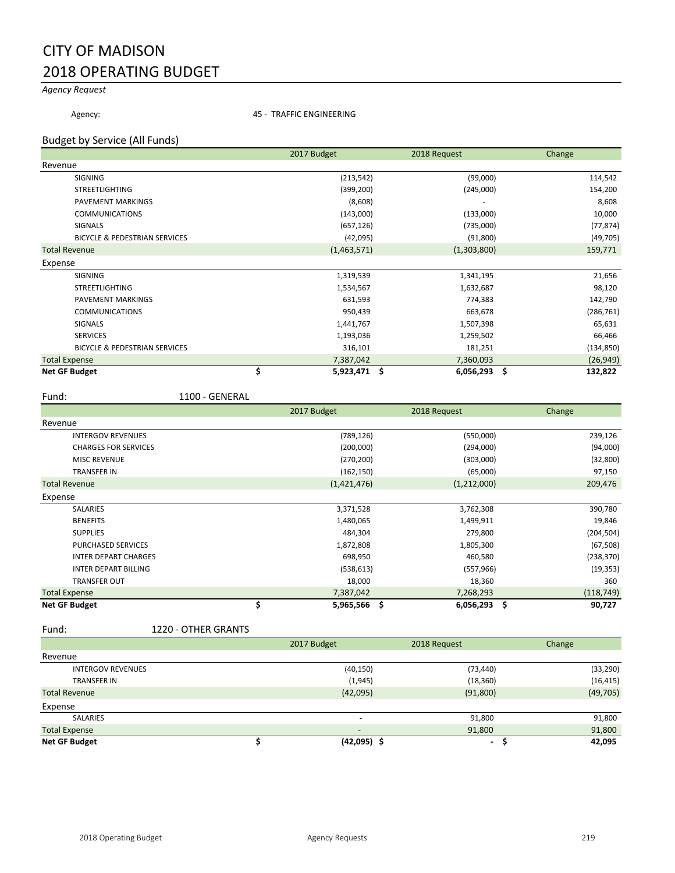# CITY OF MADISON 2018 OPERATING BUDGET

# *Agency Request*

Agency: **45 - TRAFFIC ENGINEERING** 

### Budget by Service (All Funds)

|                                          | 2017 Budget          | 2018 Request   |            |
|------------------------------------------|----------------------|----------------|------------|
| Revenue                                  |                      |                |            |
| <b>SIGNING</b>                           | (213, 542)           | (99,000)       | 114,542    |
| <b>STREETLIGHTING</b>                    | (399, 200)           | (245,000)      | 154,200    |
| PAVEMENT MARKINGS                        | (8,608)              |                | 8,608      |
| <b>COMMUNICATIONS</b>                    | (143,000)            | (133,000)      | 10,000     |
| <b>SIGNALS</b>                           | (657, 126)           | (735,000)      | (77, 874)  |
| <b>BICYCLE &amp; PEDESTRIAN SERVICES</b> | (42,095)             | (91, 800)      | (49, 705)  |
| <b>Total Revenue</b>                     | (1,463,571)          | (1,303,800)    | 159,771    |
| Expense                                  |                      |                |            |
| <b>SIGNING</b>                           | 1,319,539            | 1,341,195      | 21,656     |
| <b>STREETLIGHTING</b>                    | 1,534,567            | 1,632,687      | 98,120     |
| PAVEMENT MARKINGS                        | 631,593              | 774,383        | 142,790    |
| <b>COMMUNICATIONS</b>                    | 950,439              | 663,678        | (286, 761) |
| SIGNALS                                  | 1,441,767            | 1,507,398      | 65,631     |
| <b>SERVICES</b>                          | 1,193,036            | 1,259,502      | 66,466     |
| <b>BICYCLE &amp; PEDESTRIAN SERVICES</b> | 316,101              | 181,251        | (134, 850) |
| <b>Total Expense</b>                     | 7,387,042            | 7,360,093      | (26, 949)  |
| <b>Net GF Budget</b>                     | \$<br>$5,923,471$ \$ | $6,056,293$ \$ | 132,822    |

Fund: 1100 - GENERAL

|                             | 2017 Budget        | 2018 Request |               |
|-----------------------------|--------------------|--------------|---------------|
| Revenue                     |                    |              |               |
| <b>INTERGOV REVENUES</b>    | (789, 126)         | (550,000)    | 239,126       |
| <b>CHARGES FOR SERVICES</b> | (200,000)          | (294,000)    | (94,000)      |
| <b>MISC REVENUE</b>         | (270, 200)         | (303,000)    | (32, 800)     |
| <b>TRANSFER IN</b>          | (162, 150)         | (65,000)     | 97,150        |
| <b>Total Revenue</b>        | (1,421,476)        | (1,212,000)  | 209,476       |
| Expense                     |                    |              |               |
| <b>SALARIES</b>             | 3,371,528          | 3,762,308    | 390,780       |
| <b>BENEFITS</b>             | 1,480,065          | 1,499,911    | 19,846        |
| <b>SUPPLIES</b>             | 484,304            | 279,800      | (204, 504)    |
| <b>PURCHASED SERVICES</b>   | 1,872,808          | 1,805,300    | (67, 508)     |
| <b>INTER DEPART CHARGES</b> | 698,950            | 460,580      | (238, 370)    |
| <b>INTER DEPART BILLING</b> | (538, 613)         | (557, 966)   | (19, 353)     |
| <b>TRANSFER OUT</b>         | 18,000             | 18,360       | 360           |
| <b>Total Expense</b>        | 7,387,042          | 7,268,293    | (118, 749)    |
| <b>Net GF Budget</b>        | \$<br>5,965,566 \$ | 6,056,293    | -\$<br>90,727 |

Fund: 1220 - OTHER GRANTS

|                          | 2017 Budget              | 2018 Request | Change    |
|--------------------------|--------------------------|--------------|-----------|
| Revenue                  |                          |              |           |
| <b>INTERGOV REVENUES</b> | (40, 150)                | (73, 440)    | (33, 290) |
| <b>TRANSFER IN</b>       | (1, 945)                 | (18, 360)    | (16, 415) |
| <b>Total Revenue</b>     | (42,095)                 | (91, 800)    | (49, 705) |
| Expense                  |                          |              |           |
| <b>SALARIES</b>          | $\overline{\phantom{a}}$ | 91,800       | 91,800    |
| <b>Total Expense</b>     | $\overline{\phantom{a}}$ | 91,800       | 91,800    |
| <b>Net GF Budget</b>     | $(42,095)$ \$            | ۰.           | 42,095    |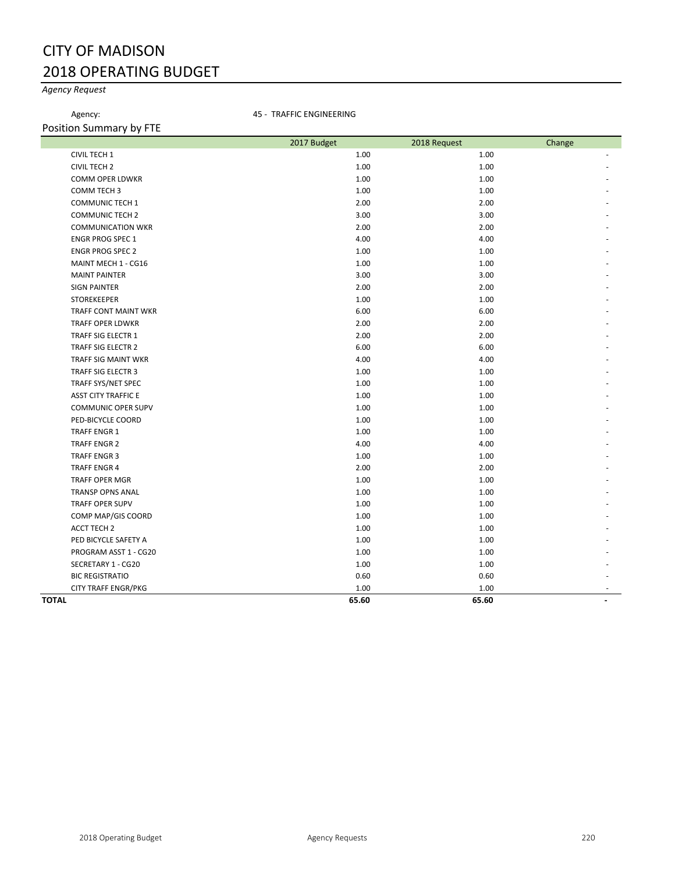# CITY OF MADISON 2018 OPERATING BUDGET

# *Agency Request*

Agency: **45 - TRAFFIC ENGINEERING** 

Position Summary by FTE

|                            | 2017 Budget | 2018 Request | Change |
|----------------------------|-------------|--------------|--------|
| CIVIL TECH 1               | 1.00        | 1.00         |        |
| <b>CIVIL TECH 2</b>        | 1.00        | 1.00         |        |
| <b>COMM OPER LDWKR</b>     | 1.00        | 1.00         |        |
| COMM TECH 3                | 1.00        | 1.00         |        |
| <b>COMMUNIC TECH 1</b>     | 2.00        | 2.00         |        |
| <b>COMMUNIC TECH 2</b>     | 3.00        | 3.00         |        |
| <b>COMMUNICATION WKR</b>   | 2.00        | 2.00         |        |
| <b>ENGR PROG SPEC 1</b>    | 4.00        | 4.00         |        |
| <b>ENGR PROG SPEC 2</b>    | 1.00        | 1.00         |        |
| MAINT MECH 1 - CG16        | 1.00        | 1.00         |        |
| <b>MAINT PAINTER</b>       | 3.00        | 3.00         |        |
| <b>SIGN PAINTER</b>        | 2.00        | 2.00         |        |
| <b>STOREKEEPER</b>         | 1.00        | 1.00         |        |
| TRAFF CONT MAINT WKR       | 6.00        | 6.00         |        |
| TRAFF OPER LDWKR           | 2.00        | 2.00         |        |
| TRAFF SIG ELECTR 1         | 2.00        | 2.00         |        |
| TRAFF SIG ELECTR 2         | 6.00        | 6.00         |        |
| TRAFF SIG MAINT WKR        | 4.00        | 4.00         |        |
| TRAFF SIG ELECTR 3         | 1.00        | 1.00         |        |
| TRAFF SYS/NET SPEC         | 1.00        | 1.00         |        |
| <b>ASST CITY TRAFFIC E</b> | 1.00        | 1.00         |        |
| COMMUNIC OPER SUPV         | 1.00        | 1.00         |        |
| PED-BICYCLE COORD          | 1.00        | 1.00         |        |
| <b>TRAFF ENGR 1</b>        | 1.00        | 1.00         |        |
| <b>TRAFF ENGR 2</b>        | 4.00        | 4.00         |        |
| <b>TRAFF ENGR 3</b>        | 1.00        | 1.00         |        |
| <b>TRAFF ENGR 4</b>        | 2.00        | 2.00         |        |
| <b>TRAFF OPER MGR</b>      | 1.00        | 1.00         |        |
| <b>TRANSP OPNS ANAL</b>    | 1.00        | 1.00         |        |
| <b>TRAFF OPER SUPV</b>     | 1.00        | 1.00         |        |
| COMP MAP/GIS COORD         | 1.00        | 1.00         |        |
| <b>ACCT TECH 2</b>         | 1.00        | 1.00         |        |
| PED BICYCLE SAFETY A       | 1.00        | 1.00         |        |
| PROGRAM ASST 1 - CG20      | 1.00        | 1.00         |        |
| SECRETARY 1 - CG20         | 1.00        | 1.00         |        |
| <b>BIC REGISTRATIO</b>     | 0.60        | 0.60         |        |
| <b>CITY TRAFF ENGR/PKG</b> | 1.00        | 1.00         |        |
| <b>TOTAL</b>               | 65.60       | 65.60        |        |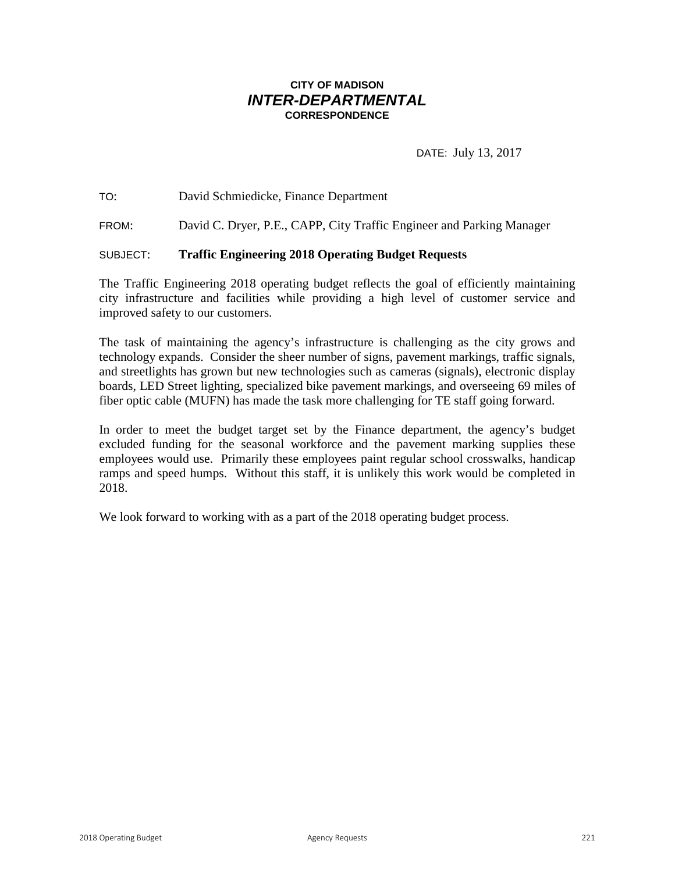# **CITY OF MADISON** *INTER-DEPARTMENTAL* **CORRESPONDENCE**

DATE: July 13, 2017

TO: David Schmiedicke, Finance Department

FROM: David C. Dryer, P.E., CAPP, City Traffic Engineer and Parking Manager

# SUBJECT: **Traffic Engineering 2018 Operating Budget Requests**

The Traffic Engineering 2018 operating budget reflects the goal of efficiently maintaining city infrastructure and facilities while providing a high level of customer service and improved safety to our customers.

The task of maintaining the agency's infrastructure is challenging as the city grows and technology expands. Consider the sheer number of signs, pavement markings, traffic signals, and streetlights has grown but new technologies such as cameras (signals), electronic display boards, LED Street lighting, specialized bike pavement markings, and overseeing 69 miles of fiber optic cable (MUFN) has made the task more challenging for TE staff going forward.

In order to meet the budget target set by the Finance department, the agency's budget excluded funding for the seasonal workforce and the pavement marking supplies these employees would use. Primarily these employees paint regular school crosswalks, handicap ramps and speed humps. Without this staff, it is unlikely this work would be completed in 2018.

We look forward to working with as a part of the 2018 operating budget process.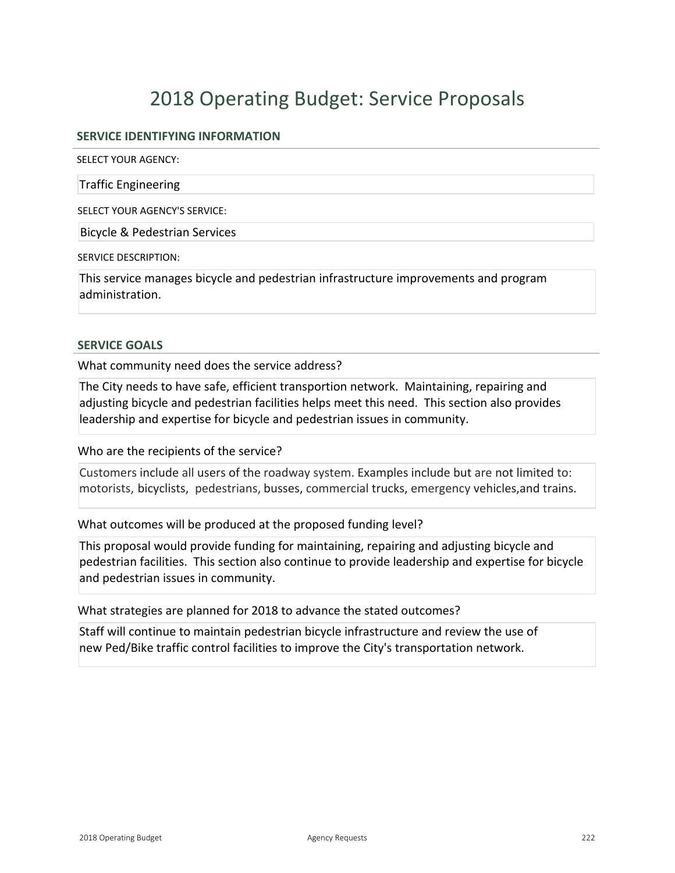# **SERVICE IDENTIFYING INFORMATION**

SELECT YOUR AGENCY:

Traffic Engineering

SELECT YOUR AGENCY'S SERVICE:

Bicycle & Pedestrian Services

SERVICE DESCRIPTION:

This service manages bicycle and pedestrian infrastructure improvements and program administration.

### **SERVICE GOALS**

What community need does the service address?

The City needs to have safe, efficient transportion network. Maintaining, repairing and adjusting bicycle and pedestrian facilities helps meet this need. This section also provides leadership and expertise for bicycle and pedestrian issues in community.

Who are the recipients of the service?

Customers include all users of the roadway system. Examples include but are not limited to: motorists, bicyclists, pedestrians, busses, commercial trucks, emergency vehicles,and trains.

What outcomes will be produced at the proposed funding level?

This proposal would provide funding for maintaining, repairing and adjusting bicycle and pedestrian facilities. This section also continue to provide leadership and expertise for bicycle and pedestrian issues in community.

What strategies are planned for 2018 to advance the stated outcomes?

Staff will continue to maintain pedestrian bicycle infrastructure and review the use of new Ped/Bike traffic control facilities to improve the City's transportation network.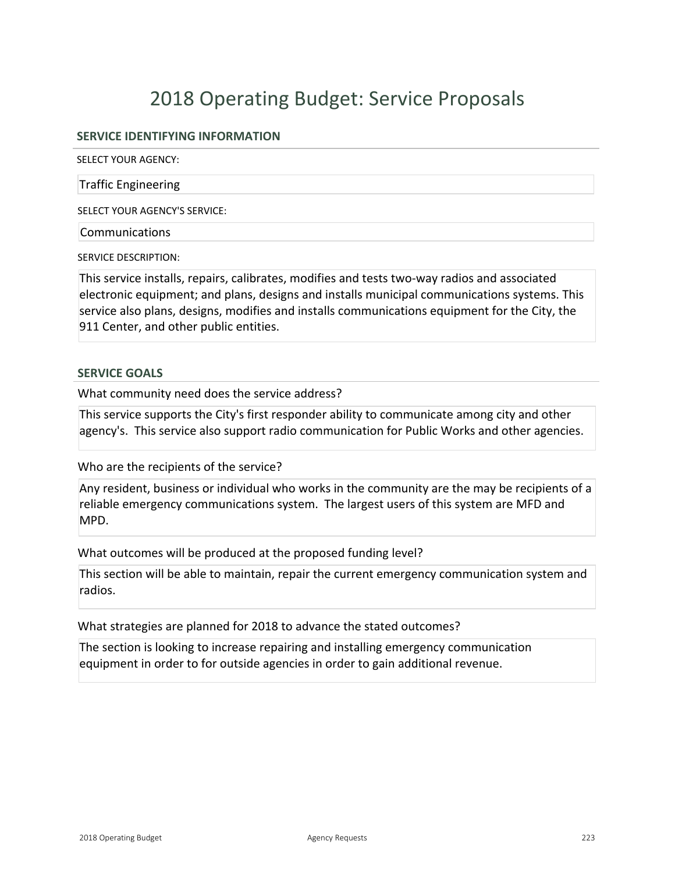# **SERVICE IDENTIFYING INFORMATION**

SELECT YOUR AGENCY:

Traffic Engineering

SELECT YOUR AGENCY'S SERVICE:

Communications

SERVICE DESCRIPTION:

This service installs, repairs, calibrates, modifies and tests two-way radios and associated electronic equipment; and plans, designs and installs municipal communications systems. This service also plans, designs, modifies and installs communications equipment for the City, the 911 Center, and other public entities.

### **SERVICE GOALS**

What community need does the service address?

This service supports the City's first responder ability to communicate among city and other agency's. This service also support radio communication for Public Works and other agencies.

Who are the recipients of the service?

Any resident, business or individual who works in the community are the may be recipients of a reliable emergency communications system. The largest users of this system are MFD and MPD.

What outcomes will be produced at the proposed funding level?

This section will be able to maintain, repair the current emergency communication system and radios.

What strategies are planned for 2018 to advance the stated outcomes?

The section is looking to increase repairing and installing emergency communication equipment in order to for outside agencies in order to gain additional revenue.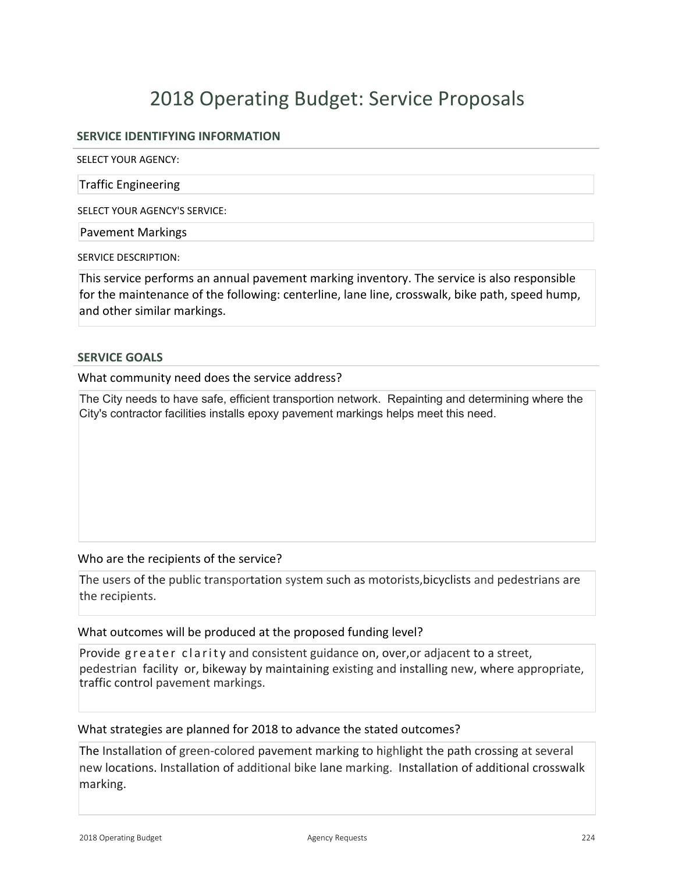# **SERVICE IDENTIFYING INFORMATION**

SELECT YOUR AGENCY:

Traffic Engineering

SELECT YOUR AGENCY'S SERVICE:

Pavement Markings

SERVICE DESCRIPTION:

This service performs an annual pavement marking inventory. The service is also responsible for the maintenance of the following: centerline, lane line, crosswalk, bike path, speed hump, and other similar markings.

### **SERVICE GOALS**

What community need does the service address?

The City needs to have safe, efficient transportion network. Repainting and determining where the City's contractor facilities installs epoxy pavement markings helps meet this need.

### Who are the recipients of the service?

The users of the public transportation system such as motorists,bicyclists and pedestrians are the recipients.

#### What outcomes will be produced at the proposed funding level?

Provide greater clarity and consistent guidance on, over, or adjacent to a street, pedestrian facility or, bikeway by maintaining existing and installing new, where appropriate, traffic control pavement markings.

#### What strategies are planned for 2018 to advance the stated outcomes?

The Installation of green-colored pavement marking to highlight the path crossing at several new locations. Installation of additional bike lane marking. Installation of additional crosswalk marking.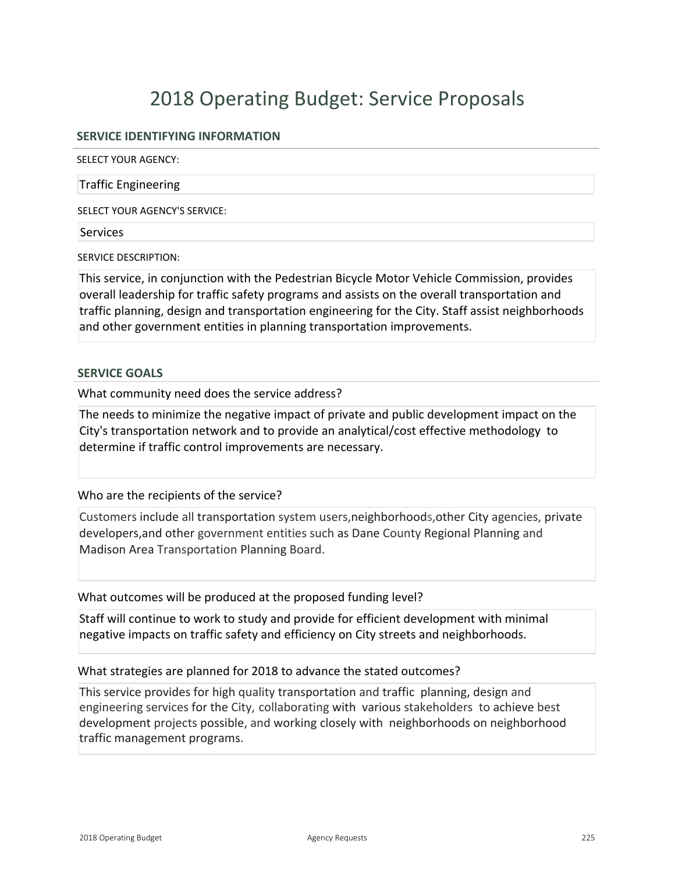# **SERVICE IDENTIFYING INFORMATION**

SELECT YOUR AGENCY:

### Traffic Engineering

SELECT YOUR AGENCY'S SERVICE:

#### **Services**

SERVICE DESCRIPTION:

This service, in conjunction with the Pedestrian Bicycle Motor Vehicle Commission, provides overall leadership for traffic safety programs and assists on the overall transportation and traffic planning, design and transportation engineering for the City. Staff assist neighborhoods and other government entities in planning transportation improvements.

### **SERVICE GOALS**

What community need does the service address?

The needs to minimize the negative impact of private and public development impact on the City's transportation network and to provide an analytical/cost effective methodology to determine if traffic control improvements are necessary.

# Who are the recipients of the service?

Customers include all transportation system users,neighborhoods,other City agencies, private developers,and other government entities such as Dane County Regional Planning and Madison Area Transportation Planning Board.

What outcomes will be produced at the proposed funding level?

Staff will continue to work to study and provide for efficient development with minimal negative impacts on traffic safety and efficiency on City streets and neighborhoods.

# What strategies are planned for 2018 to advance the stated outcomes?

This service provides for high quality transportation and traffic planning, design and engineering services for the City, collaborating with various stakeholders to achieve best development projects possible, and working closely with neighborhoods on neighborhood traffic management programs.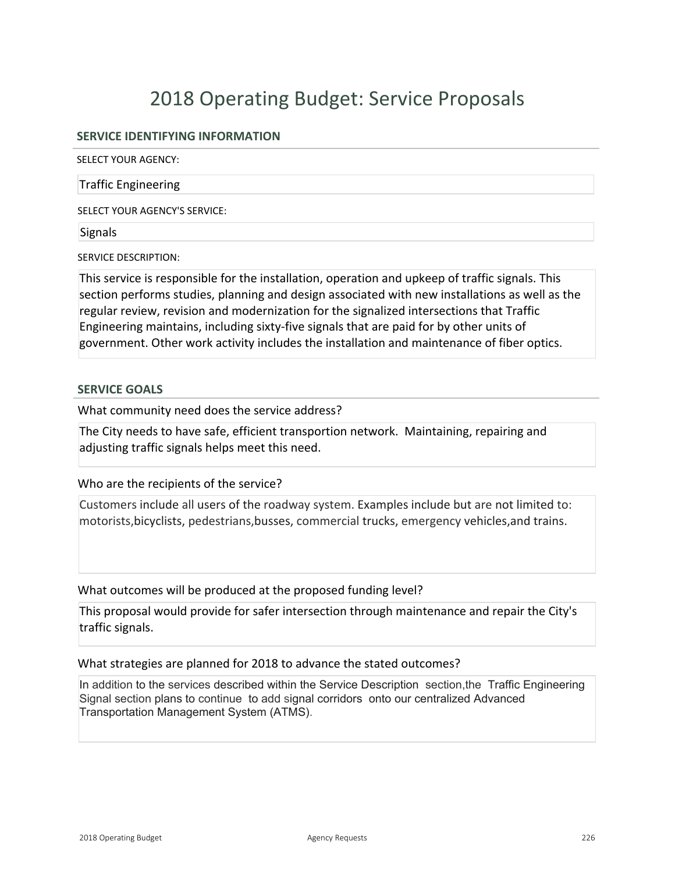# **SERVICE IDENTIFYING INFORMATION**

SELECT YOUR AGENCY:

### Traffic Engineering

SELECT YOUR AGENCY'S SERVICE:

### Signals

SERVICE DESCRIPTION:

This service is responsible for the installation, operation and upkeep of traffic signals. This section performs studies, planning and design associated with new installations as well as the regular review, revision and modernization for the signalized intersections that Traffic Engineering maintains, including sixty-five signals that are paid for by other units of government. Other work activity includes the installation and maintenance of fiber optics.

### **SERVICE GOALS**

What community need does the service address?

The City needs to have safe, efficient transportion network. Maintaining, repairing and adjusting traffic signals helps meet this need.

# Who are the recipients of the service?

Customers include all users of the roadway system. Examples include but are not limited to: motorists,bicyclists, pedestrians,busses, commercial trucks, emergency vehicles,and trains.

What outcomes will be produced at the proposed funding level?

This proposal would provide for safer intersection through maintenance and repair the City's traffic signals.

# What strategies are planned for 2018 to advance the stated outcomes?

In addition to the services described within the Service Description section,the Traffic Engineering Signal section plans to continue to add signal corridors onto our centralized Advanced Transportation Management System (ATMS).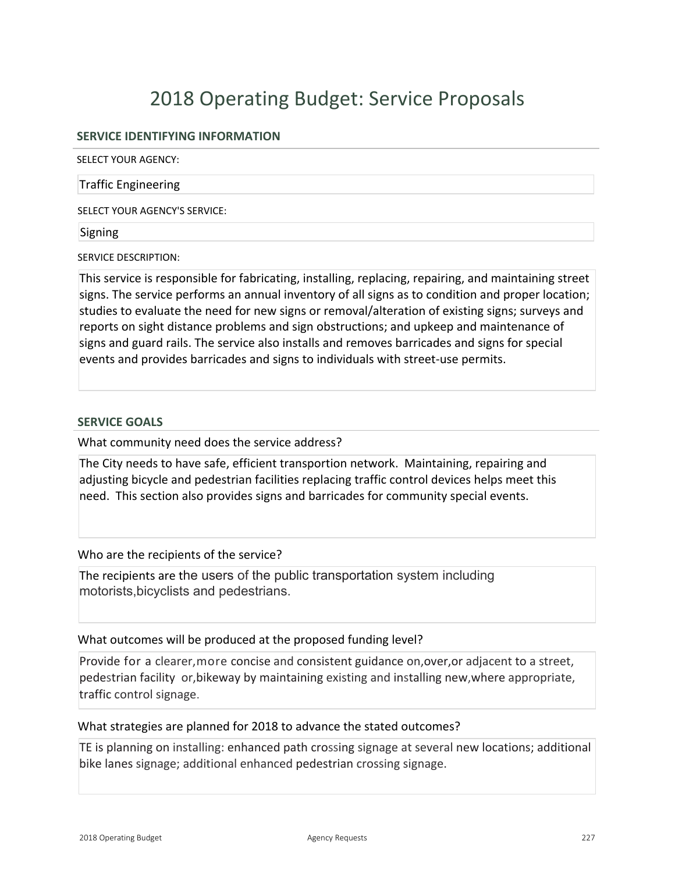# **SERVICE IDENTIFYING INFORMATION**

SELECT YOUR AGENCY:

### Traffic Engineering

SELECT YOUR AGENCY'S SERVICE:

### Signing

SERVICE DESCRIPTION:

This service is responsible for fabricating, installing, replacing, repairing, and maintaining street signs. The service performs an annual inventory of all signs as to condition and proper location; studies to evaluate the need for new signs or removal/alteration of existing signs; surveys and reports on sight distance problems and sign obstructions; and upkeep and maintenance of signs and guard rails. The service also installs and removes barricades and signs for special events and provides barricades and signs to individuals with street-use permits.

# **SERVICE GOALS**

What community need does the service address?

The City needs to have safe, efficient transportion network. Maintaining, repairing and adjusting bicycle and pedestrian facilities replacing traffic control devices helps meet this need. This section also provides signs and barricades for community special events.

Who are the recipients of the service?

The recipients are the users of the public transportation system including motorists,bicyclists and pedestrians.

# What outcomes will be produced at the proposed funding level?

Provide for a clearer,more concise and consistent guidance on,over,or adjacent to a street, pedestrian facility or,bikeway by maintaining existing and installing new,where appropriate, traffic control signage.

# What strategies are planned for 2018 to advance the stated outcomes?

TE is planning on installing: enhanced path crossing signage at several new locations; additional bike lanes signage; additional enhanced pedestrian crossing signage.